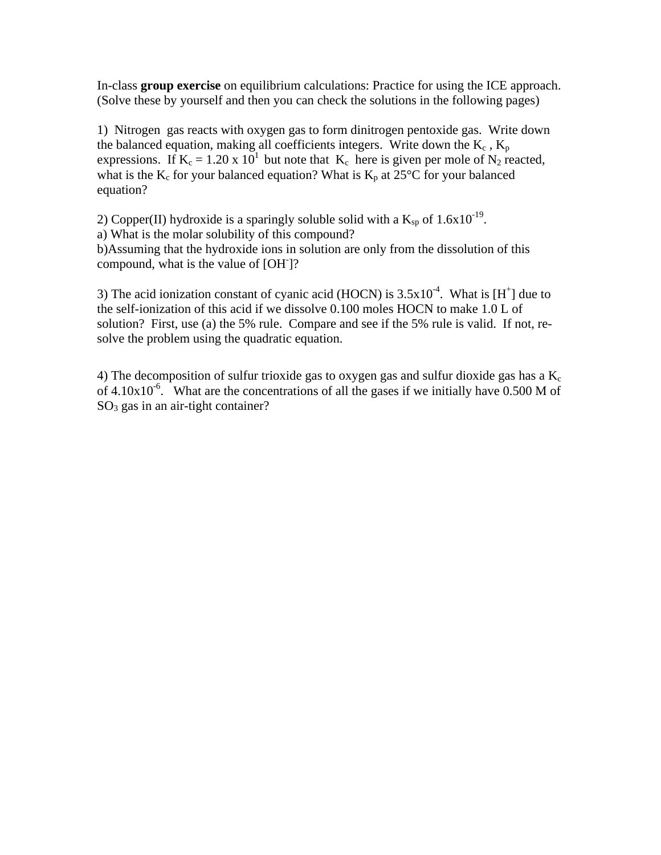In-class **group exercise** on equilibrium calculations: Practice for using the ICE approach. (Solve these by yourself and then you can check the solutions in the following pages)

1) Nitrogen gas reacts with oxygen gas to form dinitrogen pentoxide gas. Write down the balanced equation, making all coefficients integers. Write down the  $K_c$ ,  $K_p$ expressions. If  $K_c = 1.20 \times 10^1$  but note that  $K_c$  here is given per mole of N<sub>2</sub> reacted, what is the  $K_c$  for your balanced equation? What is  $K_p$  at  $25^{\circ}$ C for your balanced equation?

2) Copper(II) hydroxide is a sparingly soluble solid with a  $K_{\rm sp}$  of 1.6x10<sup>-19</sup>.

a) What is the molar solubility of this compound?

b)Assuming that the hydroxide ions in solution are only from the dissolution of this compound, what is the value of [OH- ]?

3) The acid ionization constant of cyanic acid (HOCN) is  $3.5 \times 10^{-4}$ . What is [H<sup>+</sup>] due to the self-ionization of this acid if we dissolve 0.100 moles HOCN to make 1.0 L of solution? First, use (a) the 5% rule. Compare and see if the 5% rule is valid. If not, resolve the problem using the quadratic equation.

4) The decomposition of sulfur trioxide gas to oxygen gas and sulfur dioxide gas has a  $K_c$ of  $4.10x10^{-6}$ . What are the concentrations of all the gases if we initially have 0.500 M of  $SO<sub>3</sub>$  gas in an air-tight container?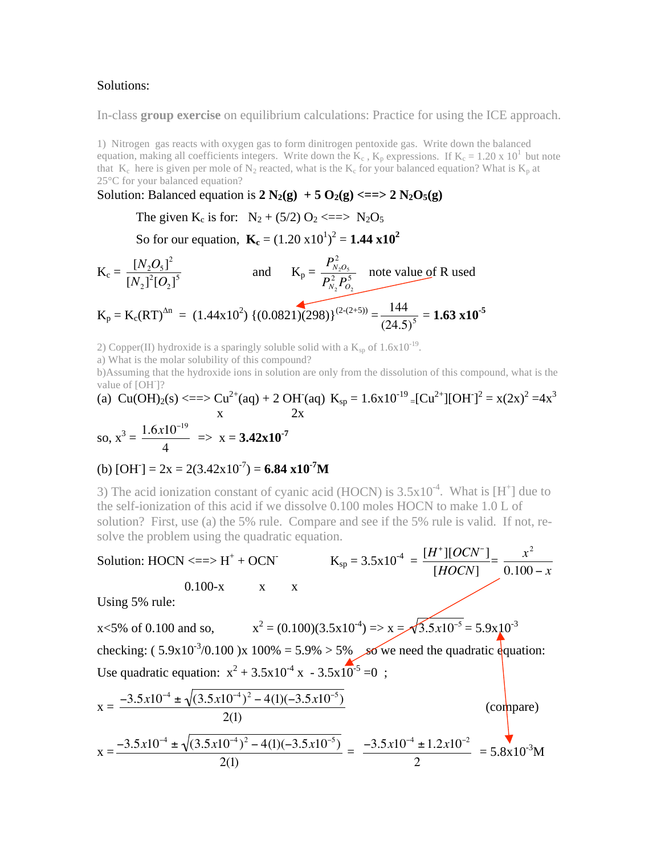## Solutions:

In-class **group exercise** on equilibrium calculations: Practice for using the ICE approach.

1) Nitrogen gas reacts with oxygen gas to form dinitrogen pentoxide gas. Write down the balanced equation, making all coefficients integers. Write down the  $K_c$ ,  $K_p$  expressions. If  $K_c = 1.20 \times 10^1$  but note that  $K_c$  here is given per mole of  $N_2$  reacted, what is the  $K_c$  for your balanced equation? What is  $K_p$  at 25°C for your balanced equation?

Solution: Balanced equation is  $2 N_2(g) + 5 O_2(g) \leq z \leq 2 N_2 O_5(g)$ 

The given K<sub>c</sub> is for: N<sub>2</sub> + (5/2) O<sub>2</sub> 
$$
\langle
$$
=> > N<sub>2</sub>O<sub>5</sub>  
\nSo for our equation,  $\mathbf{K}_c = (1.20 \times 10^1)^2 = 1.44 \times 10^2$   
\n $K_c = \frac{[N_2 O_5]^2}{[N_2]^2 [O_2]^5}$  and  $K_p = \frac{P_{N_2 O_5}^2}{P_{N_2}^2 P_{O_2}^5}$  note value of R used  
\n $K_p = K_c (RT)^{\Delta n} = (1.44 \times 10^2) \{ (0.0821)(298) \}^{(2-(2+5))} = \frac{144}{(24.5)^5} = 1.63 \times 10^{-5}$ 

2) Copper(II) hydroxide is a sparingly soluble solid with a  $K_{sp}$  of 1.6x10<sup>-19</sup>.

a) What is the molar solubility of this compound?

b)Assuming that the hydroxide ions in solution are only from the dissolution of this compound, what is the value of [OH]?

(a) Cu(OH)<sub>2</sub>(s) 
$$
\le
$$
 = $>$  Cu<sup>2+</sup>(aq) + 2 OH'(aq) K<sub>sp</sub> = 1.6x10<sup>-19</sup> = [Cu<sup>2+</sup>][OH]<sup>2</sup> = x(2x)<sup>2</sup> = 4x<sup>3</sup>  
\nso, x<sup>3</sup> =  $\frac{1.6x10^{-19}}{4}$  =  $>$  x = **3.42x10**<sup>7</sup>

(b) 
$$
[OH] = 2x = 2(3.42x10^{-7}) = 6.84 x10^{-7}M
$$

3) The acid ionization constant of cyanic acid (HOCN) is  $3.5 \times 10^{-4}$ . What is [H<sup>+</sup>] due to the self-ionization of this acid if we dissolve 0.100 moles HOCN to make 1.0 L of solution? First, use (a) the 5% rule. Compare and see if the 5% rule is valid. If not, resolve the problem using the quadratic equation.

Solution: HOCN 
$$
\langle == \rangle
$$
 H<sup>+</sup> + OCN  $K_{sp} = 3.5x10^{-4} = \frac{[H^+][OCN^-]}{[HOCN]} = \frac{x^2}{0.100 - x}$   
\n0.100-x x x  
\nUsing 5% rule:  
\nx  $\langle 5\% \text{ of } 0.100 \text{ and so, } x^2 = (0.100)(3.5x10^{-4}) = \langle x \rangle = \sqrt{3.5x10^{-5}} = 5.9x10^{-3}$   
\nchecking:  $(5.9x10^{-3}/0.100) \times 100\% = 5.9\% > 5\%$  so we need the quadratic equation:  
\nUse quadratic equation:  $x^2 + 3.5x10^{-4} \times -3.5x10^{-5} = 0$ ;  
\n $x = \frac{-3.5x10^{-4} \pm \sqrt{(3.5x10^{-4})^2 - 4(1)(-3.5x10^{-5})}}{2(1)}$  (compare)  
\n $x = \frac{-3.5x10^{-4} \pm \sqrt{(3.5x10^{-4})^2 - 4(1)(-3.5x10^{-5})}}{2(1)}$  =  $\frac{-3.5x10^{-4} \pm 1.2x10^{-2}}{2} = 5.8x10^{-3}M$